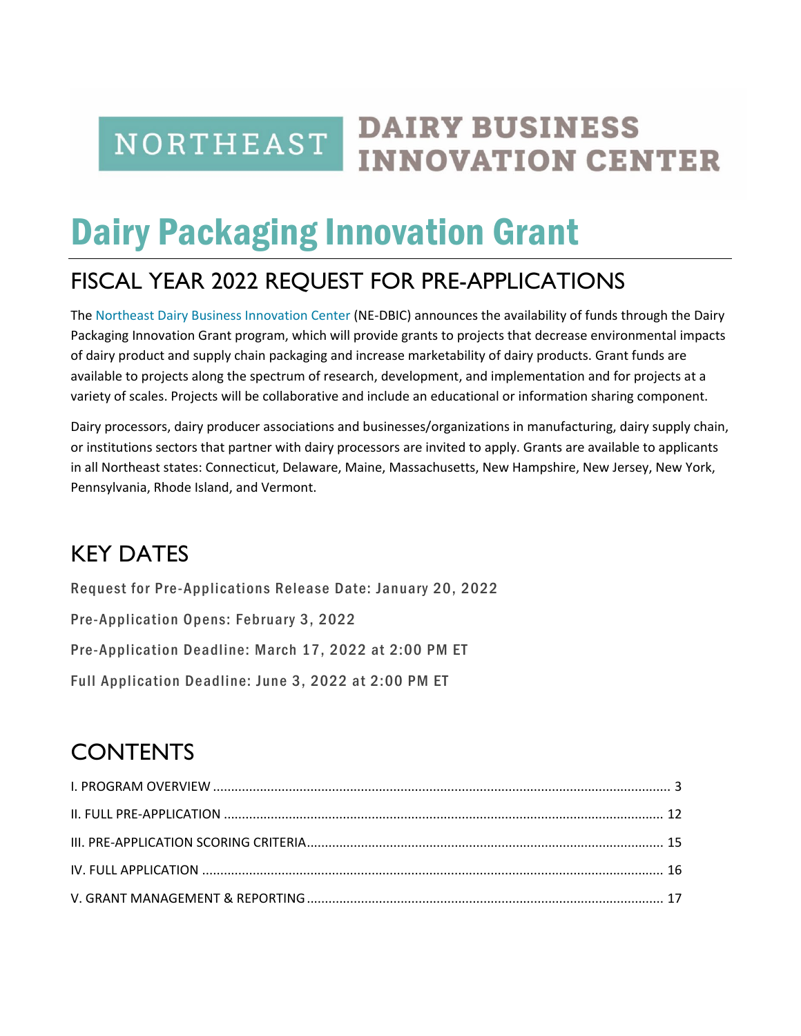**NORTHEAST** 

## **DAIRY BUSINESS INNOVATION CENTER**

# Dairy Packaging Innovation Grant

## FISCAL YEAR 2022 REQUEST FOR PRE-APPLICATIONS

The [Northeast Dairy Business Innovation Center](https://agriculture.vermont.gov/dbic) (NE-DBIC) announces the availability of funds through the Dairy Packaging Innovation Grant program, which will provide grants to projects that decrease environmental impacts of dairy product and supply chain packaging and increase marketability of dairy products. Grant funds are available to projects along the spectrum of research, development, and implementation and for projects at a variety of scales. Projects will be collaborative and include an educational or information sharing component.

Dairy processors, dairy producer associations and businesses/organizations in manufacturing, dairy supply chain, or institutions sectors that partner with dairy processors are invited to apply. Grants are available to applicants in all Northeast states: Connecticut, Delaware, Maine, Massachusetts, New Hampshire, New Jersey, New York, Pennsylvania, Rhode Island, and Vermont.

## KEY DATES

Request for Pre-Applications Release Date: January 20, 2022

Pre-Application Opens: February 3, 2022

Pre-Application Deadline: March 17, 2022 at 2:00 PM ET

Full Application Deadline: June 3, 2022 at 2:00 PM ET

## **CONTENTS**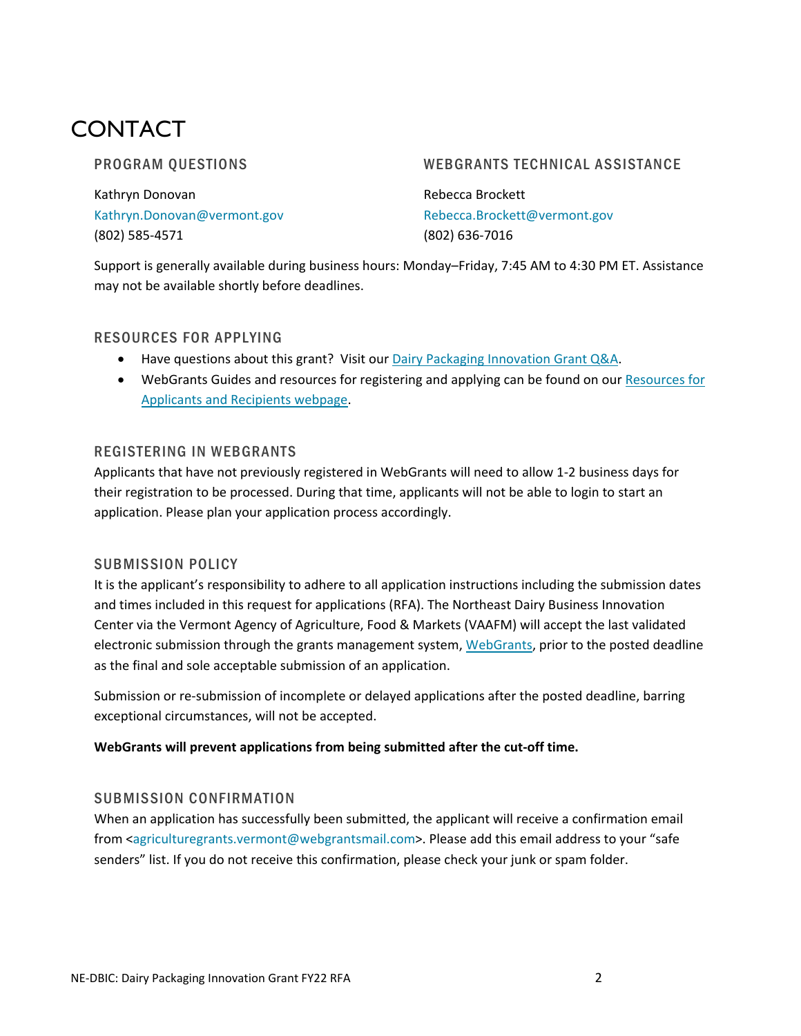## CONTACT

#### PROGRAM QUESTIONS

Kathryn Donovan [Kathryn.Donovan@vermont.gov](mailto:Kathryn.Donovan@vermont.gov) (802) 585-4571

#### WEBGRANTS TECHNICAL ASSISTANCE

Rebecca Brockett [Rebecca.Brockett@vermont.gov](mailto:Rebecca.Brockett@vermont.gov) (802) 636-7016

Support is generally available during business hours: Monday–Friday, 7:45 AM to 4:30 PM ET. Assistance may not be available shortly before deadlines.

#### RESOURCES FOR APPLYING

- Have questions about this grant? Visit our [Dairy Packaging Innovation Grant Q&A.](https://agriculture.vermont.gov/document/dairy-packaging-innovation-grant-qa)
- WebGrants Guides and resources for registering and applying can be found on our Resources for [Applicants and Recipients](https://agriculture.vermont.gov/resources-grant-recipients) webpage.

#### REGISTERING IN WEBGRANTS

Applicants that have not previously registered in WebGrants will need to allow 1-2 business days for their registration to be processed. During that time, applicants will not be able to login to start an application. Please plan your application process accordingly.

#### SUBMISSION POLICY

It is the applicant's responsibility to adhere to all application instructions including the submission dates and times included in this request for applications (RFA). The Northeast Dairy Business Innovation Center via the Vermont Agency of Agriculture, Food & Markets (VAAFM) will accept the last validated electronic submission through the grants management system, [WebGrants,](https://agriculturegrants.vermont.gov/index.do) prior to the posted deadline as the final and sole acceptable submission of an application.

Submission or re-submission of incomplete or delayed applications after the posted deadline, barring exceptional circumstances, will not be accepted.

#### **WebGrants will prevent applications from being submitted after the cut-off time.**

#### SUBMISSION CONFIRMATION

When an application has successfully been submitted, the applicant will receive a confirmation email from [<agriculturegrants.vermont@webgrantsmail.com>](mailto:agriculturegrants.vermont@webgrantsmail.com). Please add this email address to your "safe senders" list. If you do not receive this confirmation, please check your junk or spam folder.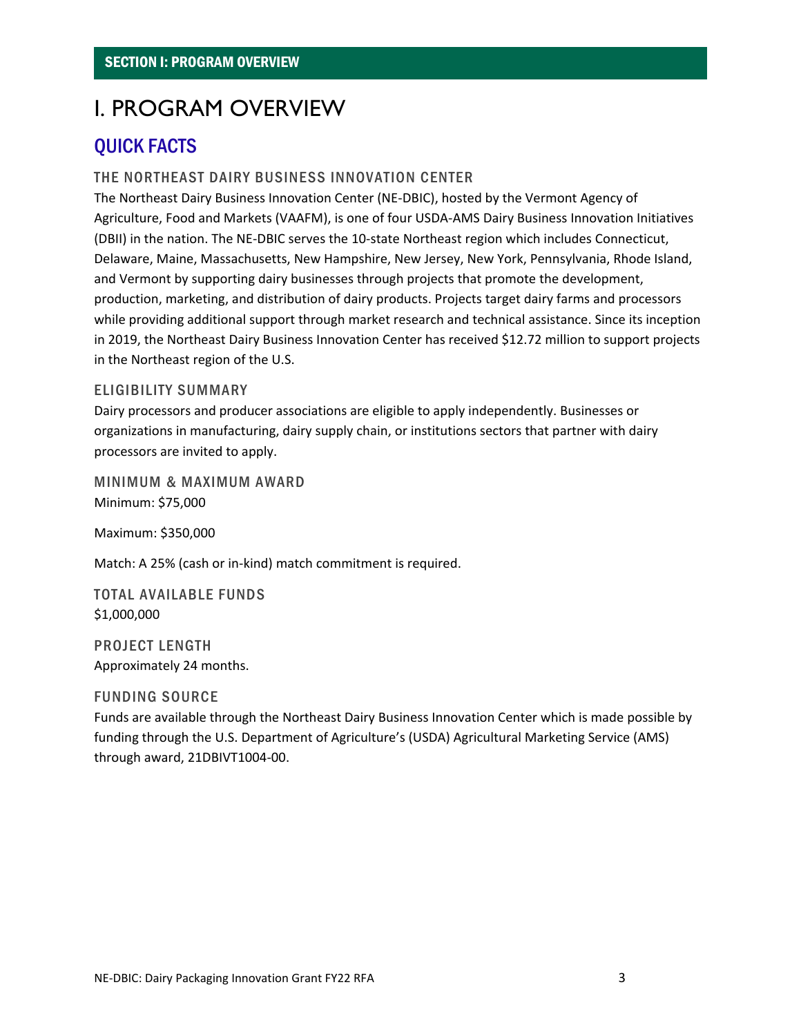## <span id="page-2-0"></span>I. PROGRAM OVERVIEW

## QUICK FACTS

#### THE NORTHEAST DAIRY BUSINESS INNOVATION CENTER

The Northeast Dairy Business Innovation Center (NE-DBIC), hosted by the Vermont Agency of Agriculture, Food and Markets (VAAFM), is one of four USDA-AMS Dairy Business Innovation Initiatives (DBII) in the nation. The NE-DBIC serves the 10-state Northeast region which includes Connecticut, Delaware, Maine, Massachusetts, New Hampshire, New Jersey, New York, Pennsylvania, Rhode Island, and Vermont by supporting dairy businesses through projects that promote the development, production, marketing, and distribution of dairy products. Projects target dairy farms and processors while providing additional support through market research and technical assistance. Since its inception in 2019, the Northeast Dairy Business Innovation Center has received \$12.72 million to support projects in the Northeast region of the U.S.

#### ELIGIBILITY SUMMARY

Dairy processors and producer associations are eligible to apply independently. Businesses or organizations in manufacturing, dairy supply chain, or institutions sectors that partner with dairy processors are invited to apply.

MINIMUM & MAXIMUM AWARD Minimum: \$75,000

Maximum: \$350,000

Match: A 25% (cash or in-kind) match commitment is required.

TOTAL AVAILABLE FUNDS \$1,000,000

PROJECT LENGTH Approximately 24 months.

#### FUNDING SOURCE

Funds are available through the Northeast Dairy Business Innovation Center which is made possible by funding through the U.S. Department of Agriculture's (USDA) Agricultural Marketing Service (AMS) through award, 21DBIVT1004-00.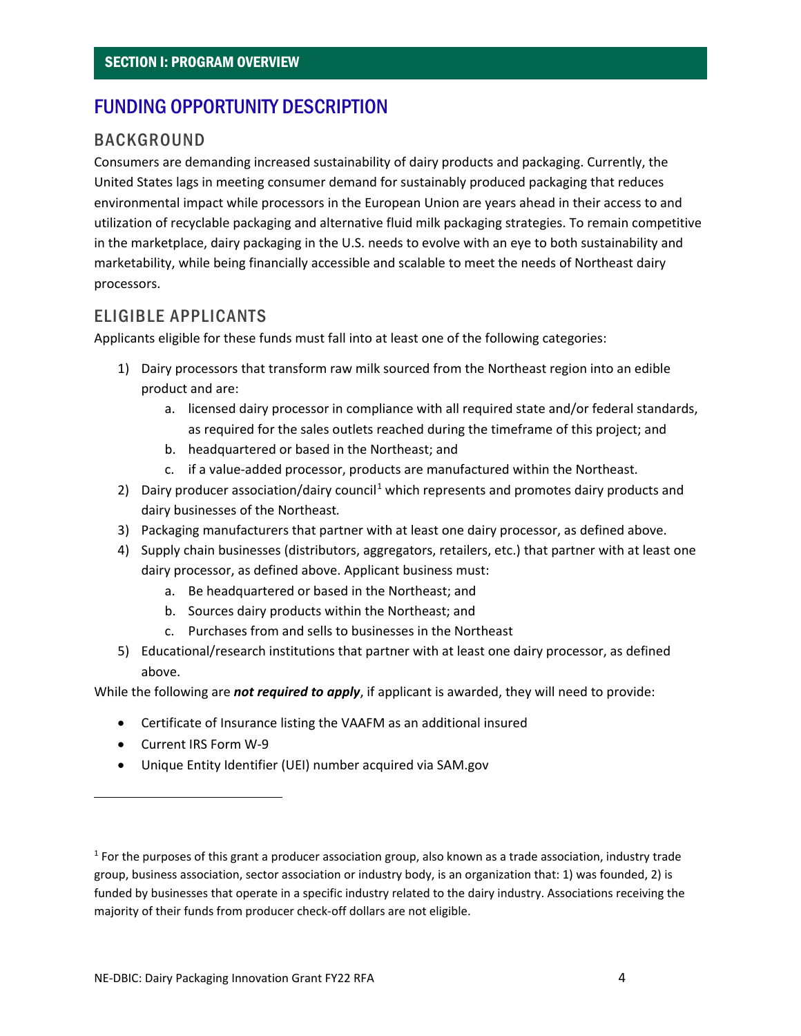## FUNDING OPPORTUNITY DESCRIPTION

### BACKGROUND

Consumers are demanding increased sustainability of dairy products and packaging. Currently, the United States lags in meeting consumer demand for sustainably produced packaging that reduces environmental impact while processors in the European Union are years ahead in their access to and utilization of recyclable packaging and alternative fluid milk packaging strategies. To remain competitive in the marketplace, dairy packaging in the U.S. needs to evolve with an eye to both sustainability and marketability, while being financially accessible and scalable to meet the needs of Northeast dairy processors.

### ELIGIBLE APPLICANTS

Applicants eligible for these funds must fall into at least one of the following categories:

- 1) Dairy processors that transform raw milk sourced from the Northeast region into an edible product and are:
	- a. licensed dairy processor in compliance with all required state and/or federal standards, as required for the sales outlets reached during the timeframe of this project; and
	- b. headquartered or based in the Northeast; and
	- c. if a value-added processor, products are manufactured within the Northeast.
- 2) Dairy producer association/dairy council<sup>[1](#page-3-0)</sup> which represents and promotes dairy products and dairy businesses of the Northeast*.*
- 3) Packaging manufacturers that partner with at least one dairy processor, as defined above.
- 4) Supply chain businesses (distributors, aggregators, retailers, etc.) that partner with at least one dairy processor, as defined above. Applicant business must:
	- a. Be headquartered or based in the Northeast; and
	- b. Sources dairy products within the Northeast; and
	- c. Purchases from and sells to businesses in the Northeast
- 5) Educational/research institutions that partner with at least one dairy processor, as defined above.

While the following are *not required to apply*, if applicant is awarded, they will need to provide:

- Certificate of Insurance listing the VAAFM as an additional insured
- Current IRS Form W-9
- Unique Entity Identifier (UEI) number acquired via SAM.gov

<span id="page-3-0"></span> $<sup>1</sup>$  For the purposes of this grant a producer association group, also known as a trade association, industry trade</sup> group, business association, sector association or industry body, is an organization that: 1) was founded, 2) is funded by businesses that operate in a specific industry related to the dairy industry. Associations receiving the majority of their funds from producer check-off dollars are not eligible.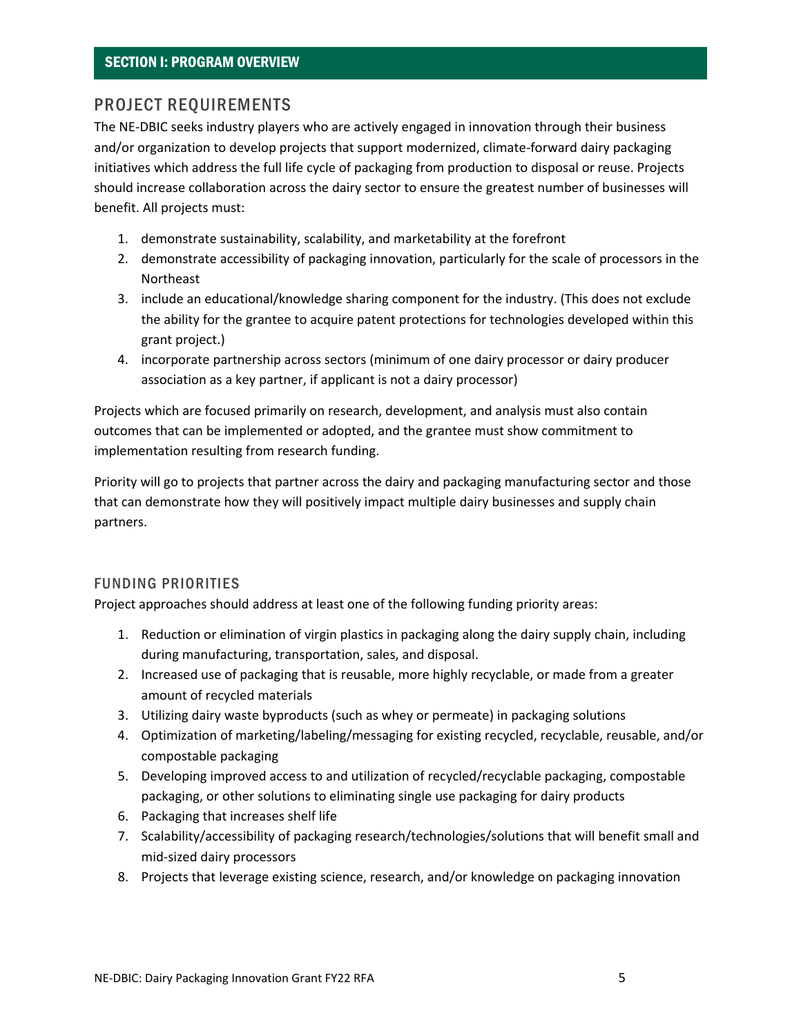### PROJECT REQUIREMENTS

The NE-DBIC seeks industry players who are actively engaged in innovation through their business and/or organization to develop projects that support modernized, climate-forward dairy packaging initiatives which address the full life cycle of packaging from production to disposal or reuse. Projects should increase collaboration across the dairy sector to ensure the greatest number of businesses will benefit. All projects must:

- 1. demonstrate sustainability, scalability, and marketability at the forefront
- 2. demonstrate accessibility of packaging innovation, particularly for the scale of processors in the Northeast
- 3. include an educational/knowledge sharing component for the industry. (This does not exclude the ability for the grantee to acquire patent protections for technologies developed within this grant project.)
- 4. incorporate partnership across sectors (minimum of one dairy processor or dairy producer association as a key partner, if applicant is not a dairy processor)

Projects which are focused primarily on research, development, and analysis must also contain outcomes that can be implemented or adopted, and the grantee must show commitment to implementation resulting from research funding.

Priority will go to projects that partner across the dairy and packaging manufacturing sector and those that can demonstrate how they will positively impact multiple dairy businesses and supply chain partners.

#### FUNDING PRIORITIES

Project approaches should address at least one of the following funding priority areas:

- 1. Reduction or elimination of virgin plastics in packaging along the dairy supply chain, including during manufacturing, transportation, sales, and disposal.
- 2. Increased use of packaging that is reusable, more highly recyclable, or made from a greater amount of recycled materials
- 3. Utilizing dairy waste byproducts (such as whey or permeate) in packaging solutions
- 4. Optimization of marketing/labeling/messaging for existing recycled, recyclable, reusable, and/or compostable packaging
- 5. Developing improved access to and utilization of recycled/recyclable packaging, compostable packaging, or other solutions to eliminating single use packaging for dairy products
- 6. Packaging that increases shelf life
- 7. Scalability/accessibility of packaging research/technologies/solutions that will benefit small and mid-sized dairy processors
- 8. Projects that leverage existing science, research, and/or knowledge on packaging innovation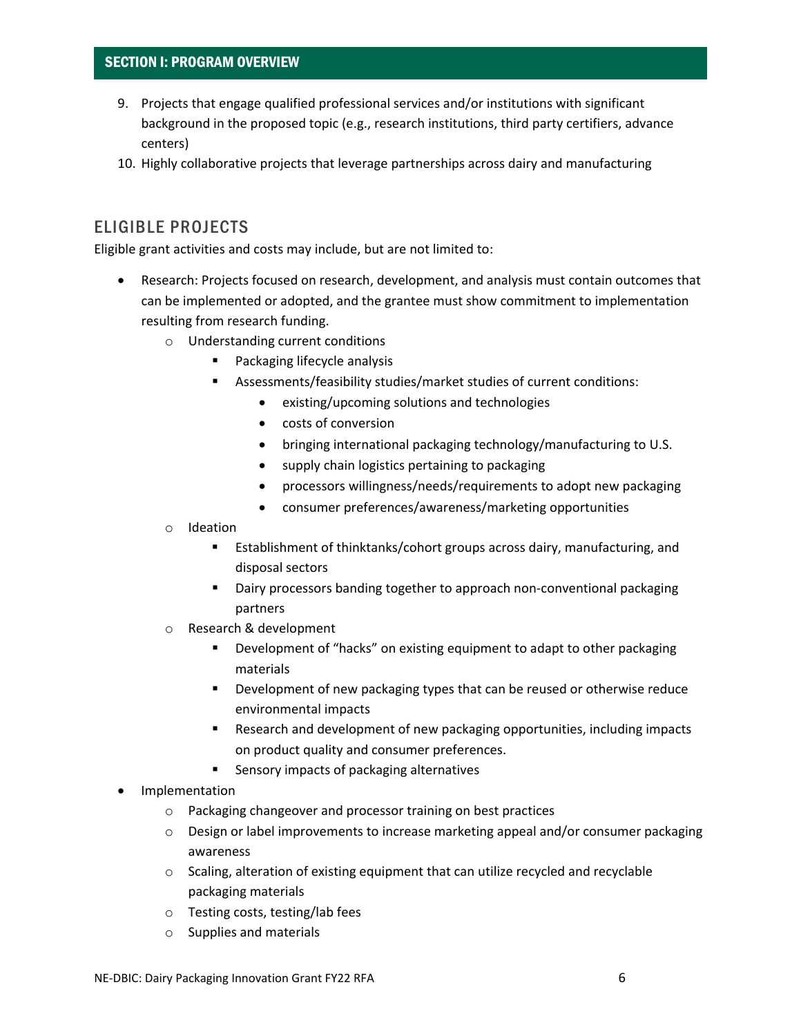#### SECTION I: PROGRAM OVERVIEW

- 9. Projects that engage qualified professional services and/or institutions with significant background in the proposed topic (e.g., research institutions, third party certifiers, advance centers)
- 10. Highly collaborative projects that leverage partnerships across dairy and manufacturing

### ELIGIBLE PROJECTS

Eligible grant activities and costs may include, but are not limited to:

- Research: Projects focused on research, development, and analysis must contain outcomes that can be implemented or adopted, and the grantee must show commitment to implementation resulting from research funding.
	- o Understanding current conditions
		- Packaging lifecycle analysis
		- Assessments/feasibility studies/market studies of current conditions:
			- existing/upcoming solutions and technologies
			- costs of conversion
			- bringing international packaging technology/manufacturing to U.S.
			- supply chain logistics pertaining to packaging
			- processors willingness/needs/requirements to adopt new packaging
			- consumer preferences/awareness/marketing opportunities
	- o Ideation
		- Establishment of thinktanks/cohort groups across dairy, manufacturing, and disposal sectors
		- Dairy processors banding together to approach non-conventional packaging partners
	- o Research & development
		- Development of "hacks" on existing equipment to adapt to other packaging materials
		- **•** Development of new packaging types that can be reused or otherwise reduce environmental impacts
		- **Research and development of new packaging opportunities, including impacts** on product quality and consumer preferences.
		- **EXEC** Sensory impacts of packaging alternatives
- **Implementation** 
	- o Packaging changeover and processor training on best practices
	- $\circ$  Design or label improvements to increase marketing appeal and/or consumer packaging awareness
	- $\circ$  Scaling, alteration of existing equipment that can utilize recycled and recyclable packaging materials
	- o Testing costs, testing/lab fees
	- o Supplies and materials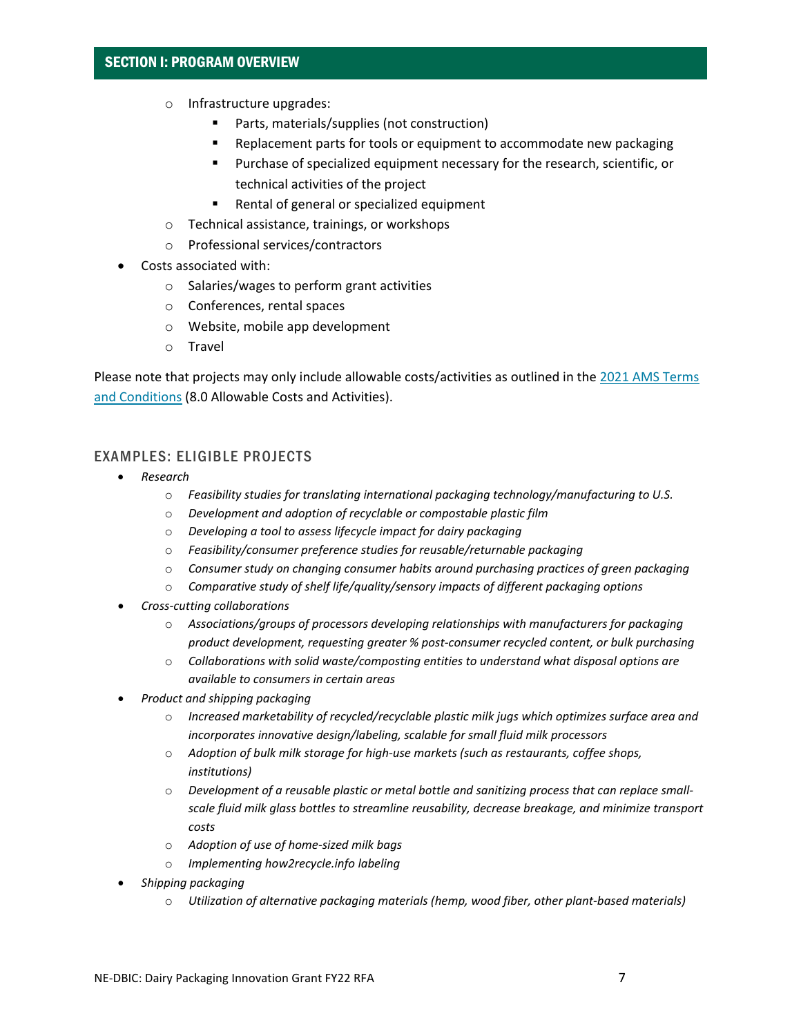#### SECTION I: PROGRAM OVERVIEW

- o Infrastructure upgrades:
	- Parts, materials/supplies (not construction)
	- **EXECTED Replacement parts for tools or equipment to accommodate new packaging**
	- **Purchase of specialized equipment necessary for the research, scientific, or** technical activities of the project
	- Rental of general or specialized equipment
- o Technical assistance, trainings, or workshops
- o Professional services/contractors
- Costs associated with:
	- o Salaries/wages to perform grant activities
	- o Conferences, rental spaces
	- o Website, mobile app development
	- o Travel

Please note that projects may only include allowable costs/activities as outlined in the 2021 [AMS Terms](https://www.ams.usda.gov/sites/default/files/media/FY2021_GD_TermsandConditions.pdf)  [and Conditions](https://www.ams.usda.gov/sites/default/files/media/FY2021_GD_TermsandConditions.pdf) (8.0 Allowable Costs and Activities).

#### EXAMPLES: ELIGIBLE PROJECTS

- *Research*
	- o *Feasibility studies for translating international packaging technology/manufacturing to U.S.*
	- o *Development and adoption of recyclable or compostable plastic film*
	- o *Developing a tool to assess lifecycle impact for dairy packaging*
	- o *Feasibility/consumer preference studies for reusable/returnable packaging*
	- o *Consumer study on changing consumer habits around purchasing practices of green packaging*
	- o *Comparative study of shelf life/quality/sensory impacts of different packaging options*
- *Cross-cutting collaborations*
	- o *Associations/groups of processors developing relationships with manufacturers for packaging product development, requesting greater % post-consumer recycled content, or bulk purchasing*
	- o *Collaborations with solid waste/composting entities to understand what disposal options are available to consumers in certain areas*
- *Product and shipping packaging*
	- o *Increased marketability of recycled/recyclable plastic milk jugs which optimizes surface area and incorporates innovative design/labeling, scalable for small fluid milk processors*
	- o *Adoption of bulk milk storage for high-use markets (such as restaurants, coffee shops, institutions)*
	- o *Development of a reusable plastic or metal bottle and sanitizing process that can replace smallscale fluid milk glass bottles to streamline reusability, decrease breakage, and minimize transport costs*
	- o *Adoption of use of home-sized milk bags*
	- o *Implementing how2recycle.info labeling*
- *Shipping packaging*
	- o *Utilization of alternative packaging materials (hemp, wood fiber, other plant-based materials)*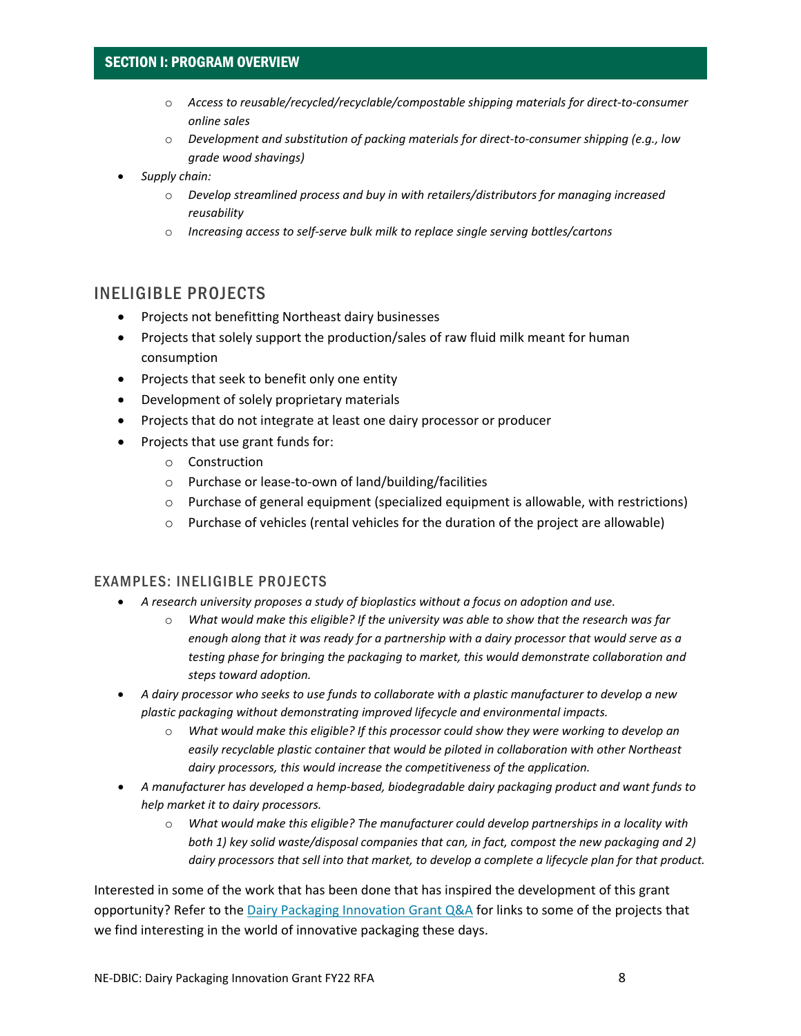#### SECTION I: PROGRAM OVERVIEW

- o *Access to reusable/recycled/recyclable/compostable shipping materials for direct-to-consumer online sales*
- o *Development and substitution of packing materials for direct-to-consumer shipping (e.g., low grade wood shavings)*
- *Supply chain:* 
	- o *Develop streamlined process and buy in with retailers/distributors for managing increased reusability*
	- o *Increasing access to self-serve bulk milk to replace single serving bottles/cartons*

#### INELIGIBLE PROJECTS

- Projects not benefitting Northeast dairy businesses
- Projects that solely support the production/sales of raw fluid milk meant for human consumption
- Projects that seek to benefit only one entity
- Development of solely proprietary materials
- Projects that do not integrate at least one dairy processor or producer
- Projects that use grant funds for:
	- o Construction
	- o Purchase or lease-to-own of land/building/facilities
	- o Purchase of general equipment (specialized equipment is allowable, with restrictions)
	- $\circ$  Purchase of vehicles (rental vehicles for the duration of the project are allowable)

#### EXAMPLES: INELIGIBLE PROJECTS

- *A research university proposes a study of bioplastics without a focus on adoption and use.* 
	- o *What would make this eligible? If the university was able to show that the research was far enough along that it was ready for a partnership with a dairy processor that would serve as a testing phase for bringing the packaging to market, this would demonstrate collaboration and steps toward adoption.*
- *A dairy processor who seeks to use funds to collaborate with a plastic manufacturer to develop a new plastic packaging without demonstrating improved lifecycle and environmental impacts.* 
	- What would make this eligible? If this processor could show they were working to develop an *easily recyclable plastic container that would be piloted in collaboration with other Northeast dairy processors, this would increase the competitiveness of the application.*
- *A manufacturer has developed a hemp-based, biodegradable dairy packaging product and want funds to help market it to dairy processors.* 
	- o *What would make this eligible? The manufacturer could develop partnerships in a locality with both 1) key solid waste/disposal companies that can, in fact, compost the new packaging and 2) dairy processors that sell into that market, to develop a complete a lifecycle plan for that product.*

Interested in some of the work that has been done that has inspired the development of this grant opportunity? Refer to the [Dairy Packaging Innovation Grant Q&A](https://agriculture.vermont.gov/document/dairy-packaging-innovation-grant-qa) for links to some of the projects that we find interesting in the world of innovative packaging these days.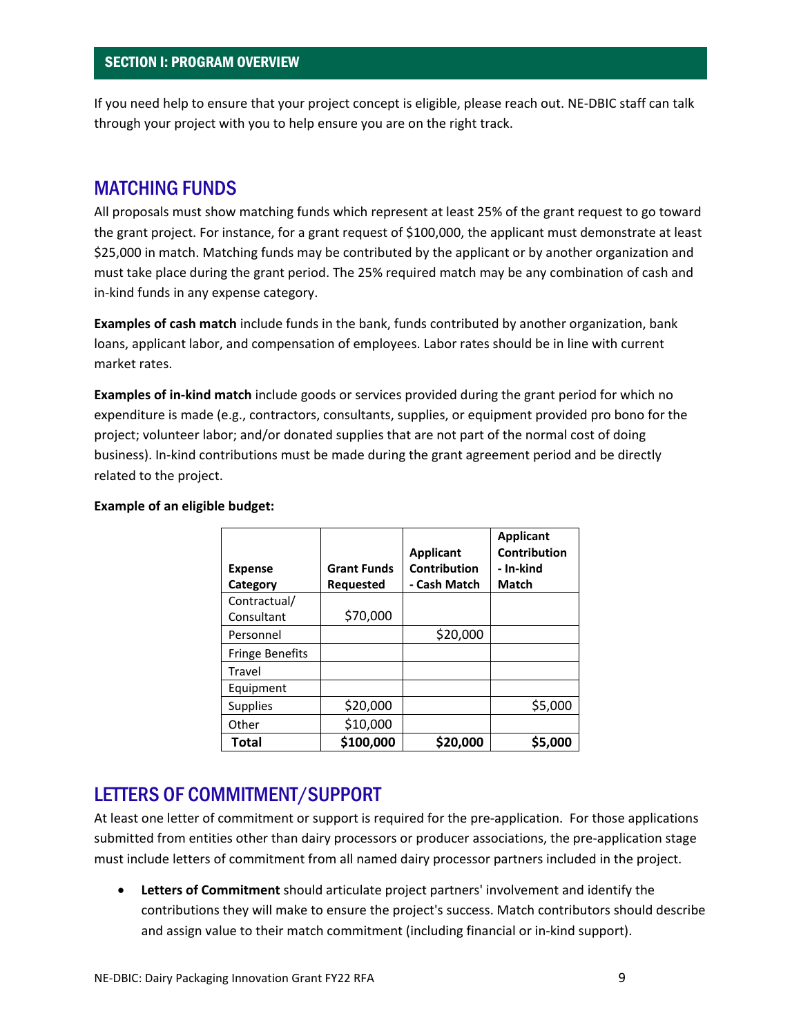If you need help to ensure that your project concept is eligible, please reach out. NE-DBIC staff can talk through your project with you to help ensure you are on the right track.

### MATCHING FUNDS

All proposals must show matching funds which represent at least 25% of the grant request to go toward the grant project. For instance, for a grant request of \$100,000, the applicant must demonstrate at least \$25,000 in match. Matching funds may be contributed by the applicant or by another organization and must take place during the grant period. The 25% required match may be any combination of cash and in-kind funds in any expense category.

**Examples of cash match** include funds in the bank, funds contributed by another organization, bank loans, applicant labor, and compensation of employees. Labor rates should be in line with current market rates.

**Examples of in-kind match** include goods or services provided during the grant period for which no expenditure is made (e.g., contractors, consultants, supplies, or equipment provided pro bono for the project; volunteer labor; and/or donated supplies that are not part of the normal cost of doing business). In-kind contributions must be made during the grant agreement period and be directly related to the project.

| <b>Expense</b>             | <b>Grant Funds</b> | <b>Applicant</b><br>Contribution | <b>Applicant</b><br>Contribution<br>- In-kind |
|----------------------------|--------------------|----------------------------------|-----------------------------------------------|
| Category                   | <b>Requested</b>   | - Cash Match                     | Match                                         |
| Contractual/<br>Consultant | \$70,000           |                                  |                                               |
| Personnel                  |                    | \$20,000                         |                                               |
| <b>Fringe Benefits</b>     |                    |                                  |                                               |
| Travel                     |                    |                                  |                                               |
| Equipment                  |                    |                                  |                                               |
| <b>Supplies</b>            | \$20,000           |                                  | \$5,000                                       |
| Other                      | \$10,000           |                                  |                                               |
| Total                      | \$100,000          | \$20,000                         | S5.000                                        |

#### **Example of an eligible budget:**

### LETTERS OF COMMITMENT/SUPPORT

At least one letter of commitment or support is required for the pre-application. For those applications submitted from entities other than dairy processors or producer associations, the pre-application stage must include letters of commitment from all named dairy processor partners included in the project.

• **Letters of Commitment** should articulate project partners' involvement and identify the contributions they will make to ensure the project's success. Match contributors should describe and assign value to their match commitment (including financial or in-kind support).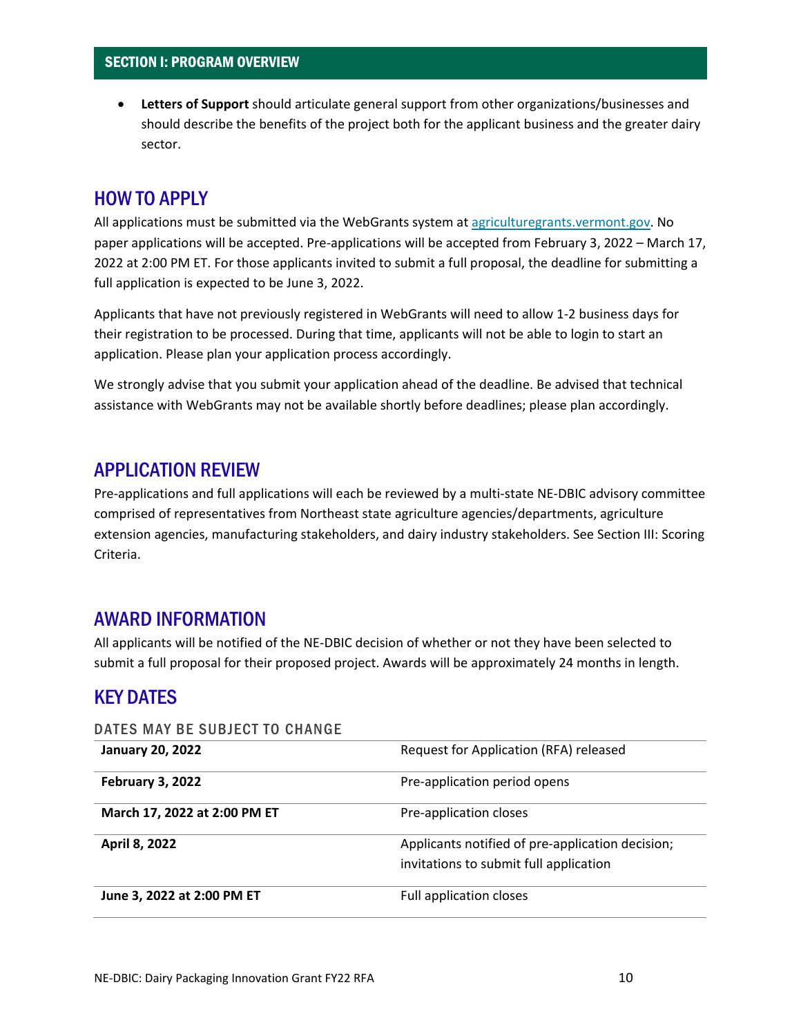• **Letters of Support** should articulate general support from other organizations/businesses and should describe the benefits of the project both for the applicant business and the greater dairy sector.

## HOW TO APPLY

All applications must be submitted via the WebGrants system at [agriculturegrants.vermont.gov.](http://agriculturegrants.vermont.gov/) No paper applications will be accepted. Pre-applications will be accepted from February 3, 2022 – March 17, 2022 at 2:00 PM ET. For those applicants invited to submit a full proposal, the deadline for submitting a full application is expected to be June 3, 2022.

Applicants that have not previously registered in WebGrants will need to allow 1-2 business days for their registration to be processed. During that time, applicants will not be able to login to start an application. Please plan your application process accordingly.

We strongly advise that you submit your application ahead of the deadline. Be advised that technical assistance with WebGrants may not be available shortly before deadlines; please plan accordingly.

### APPLICATION REVIEW

Pre-applications and full applications will each be reviewed by a multi-state NE-DBIC advisory committee comprised of representatives from Northeast state agriculture agencies/departments, agriculture extension agencies, manufacturing stakeholders, and dairy industry stakeholders. See Section III: Scoring Criteria.

### AWARD INFORMATION

All applicants will be notified of the NE-DBIC decision of whether or not they have been selected to submit a full proposal for their proposed project. Awards will be approximately 24 months in length.

## KEY DATES

#### DATES MAY BE SUBJECT TO CHANGE

| <b>January 20, 2022</b>      | Request for Application (RFA) released                                                     |  |  |
|------------------------------|--------------------------------------------------------------------------------------------|--|--|
| February 3, 2022             | Pre-application period opens                                                               |  |  |
| March 17, 2022 at 2:00 PM ET | Pre-application closes                                                                     |  |  |
| April 8, 2022                | Applicants notified of pre-application decision;<br>invitations to submit full application |  |  |
| June 3, 2022 at 2:00 PM ET   | Full application closes                                                                    |  |  |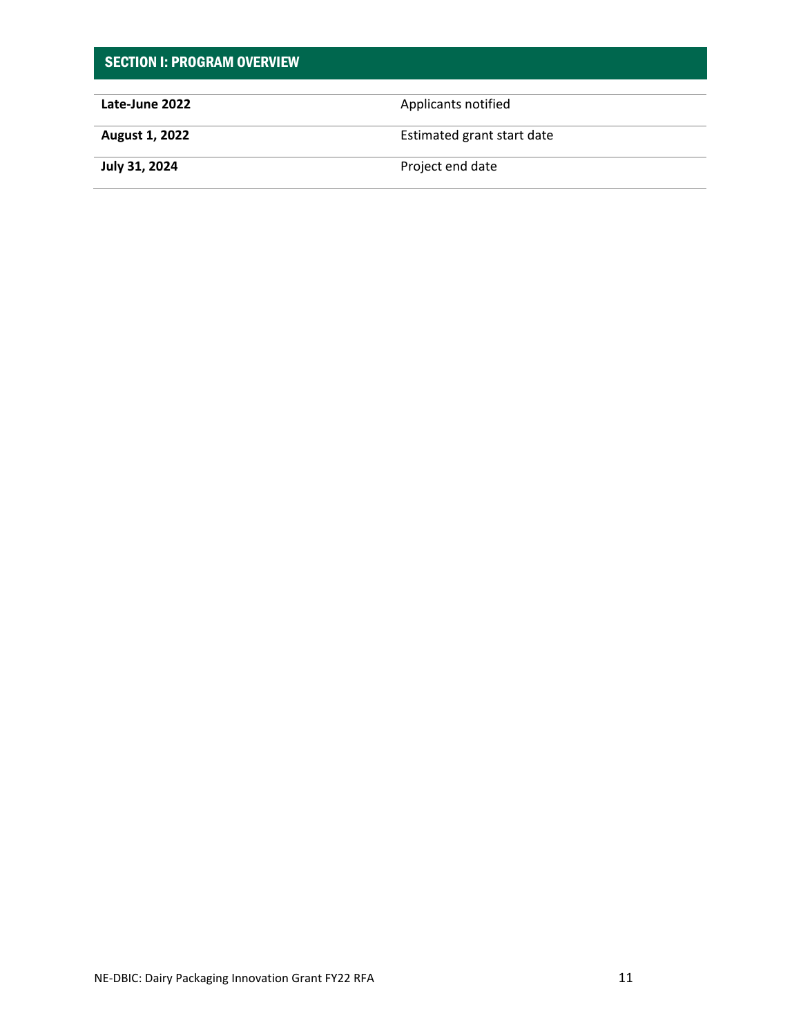| <b>SECTION I: PROGRAM OVERVIEW</b> |                            |
|------------------------------------|----------------------------|
| Late-June 2022                     | Applicants notified        |
| <b>August 1, 2022</b>              | Estimated grant start date |
| July 31, 2024                      | Project end date           |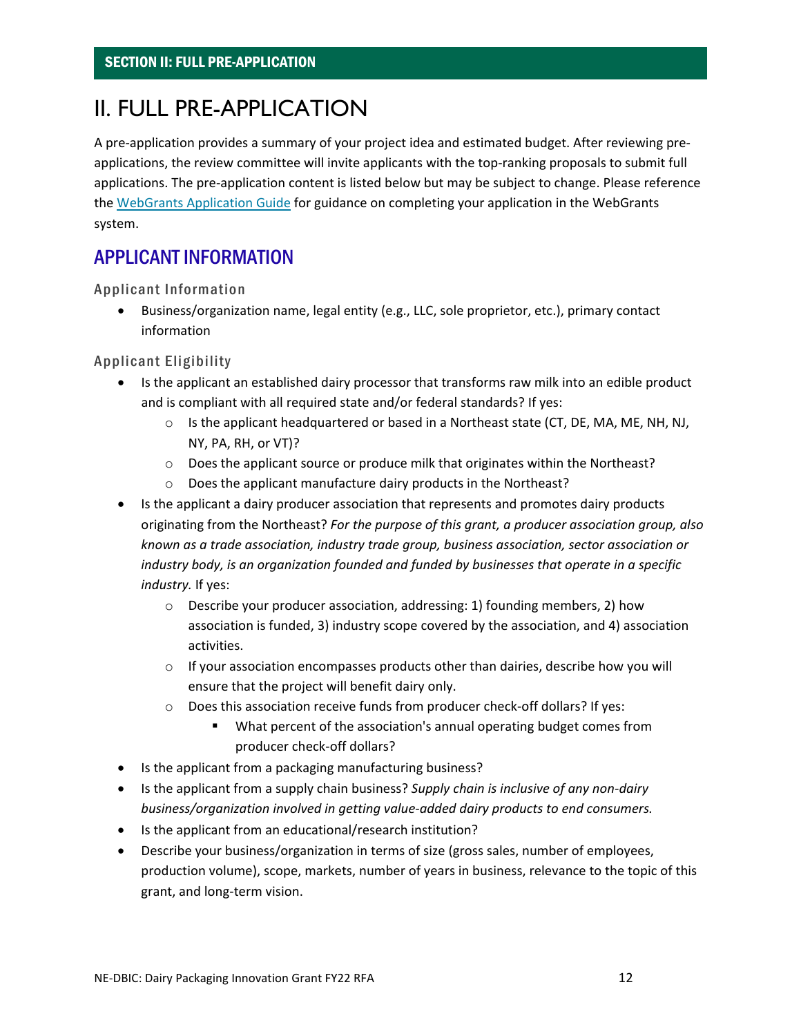## <span id="page-11-0"></span>II. FULL PRE-APPLICATION

A pre-application provides a summary of your project idea and estimated budget. After reviewing preapplications, the review committee will invite applicants with the top-ranking proposals to submit full applications. The pre-application content is listed below but may be subject to change. Please reference the [WebGrants Application Guide](https://agriculture.vermont.gov/grants/howtoapply) for guidance on completing your application in the WebGrants system.

## APPLICANT INFORMATION

Applicant Information

• Business/organization name, legal entity (e.g., LLC, sole proprietor, etc.), primary contact information

Applicant Eligibility

- Is the applicant an established dairy processor that transforms raw milk into an edible product and is compliant with all required state and/or federal standards? If yes:
	- o Is the applicant headquartered or based in a Northeast state (CT, DE, MA, ME, NH, NJ, NY, PA, RH, or VT)?
	- o Does the applicant source or produce milk that originates within the Northeast?
	- o Does the applicant manufacture dairy products in the Northeast?
- Is the applicant a dairy producer association that represents and promotes dairy products originating from the Northeast? *For the purpose of this grant, a producer association group, also known as a trade association, industry trade group, business association, sector association or industry body, is an organization founded and funded by businesses that operate in a specific industry.* If yes:
	- $\circ$  Describe your producer association, addressing: 1) founding members, 2) how association is funded, 3) industry scope covered by the association, and 4) association activities.
	- $\circ$  If your association encompasses products other than dairies, describe how you will ensure that the project will benefit dairy only.
	- o Does this association receive funds from producer check-off dollars? If yes:
		- What percent of the association's annual operating budget comes from producer check-off dollars?
- Is the applicant from a packaging manufacturing business?
- Is the applicant from a supply chain business? *Supply chain is inclusive of any non-dairy business/organization involved in getting value-added dairy products to end consumers.*
- Is the applicant from an educational/research institution?
- Describe your business/organization in terms of size (gross sales, number of employees, production volume), scope, markets, number of years in business, relevance to the topic of this grant, and long-term vision.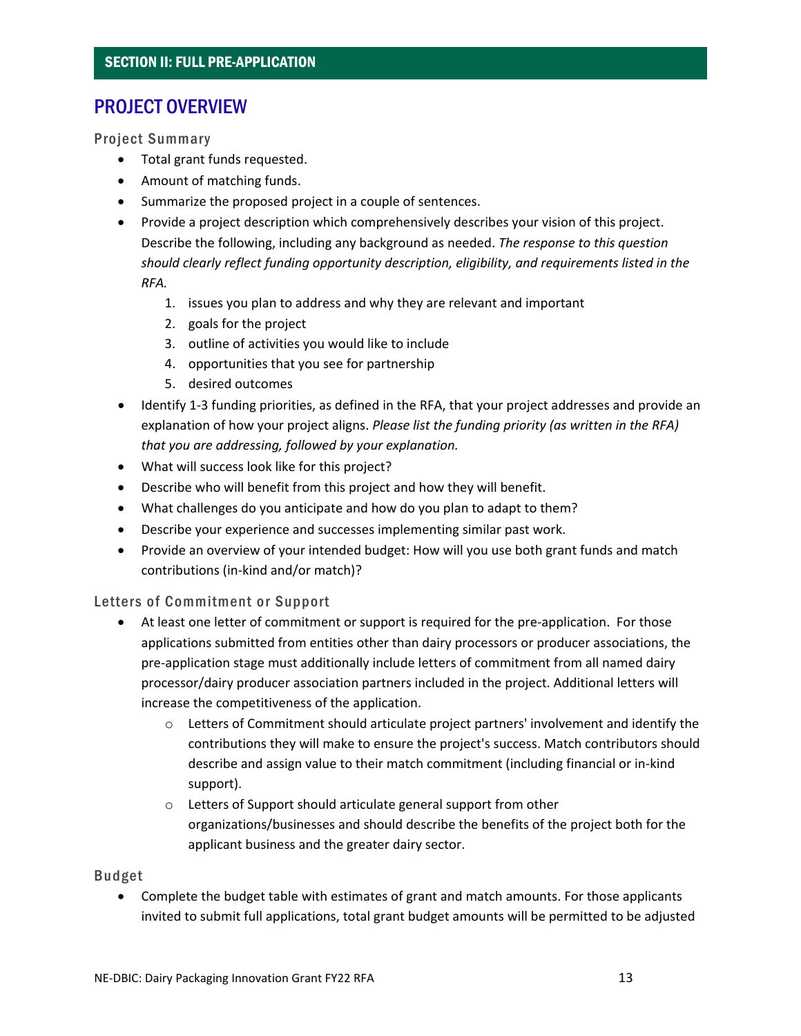## PROJECT OVERVIEW

Project Summary

- Total grant funds requested.
- Amount of matching funds.
- Summarize the proposed project in a couple of sentences.
- Provide a project description which comprehensively describes your vision of this project. Describe the following, including any background as needed. *The response to this question should clearly reflect funding opportunity description, eligibility, and requirements listed in the RFA.*
	- 1. issues you plan to address and why they are relevant and important
	- 2. goals for the project
	- 3. outline of activities you would like to include
	- 4. opportunities that you see for partnership
	- 5. desired outcomes
- Identify 1-3 funding priorities, as defined in the RFA, that your project addresses and provide an explanation of how your project aligns. *Please list the funding priority (as written in the RFA) that you are addressing, followed by your explanation.*
- What will success look like for this project?
- Describe who will benefit from this project and how they will benefit.
- What challenges do you anticipate and how do you plan to adapt to them?
- Describe your experience and successes implementing similar past work.
- Provide an overview of your intended budget: How will you use both grant funds and match contributions (in-kind and/or match)?

Letters of Commitment or Support

- At least one letter of commitment or support is required for the pre-application. For those applications submitted from entities other than dairy processors or producer associations, the pre-application stage must additionally include letters of commitment from all named dairy processor/dairy producer association partners included in the project. Additional letters will increase the competitiveness of the application.
	- o Letters of Commitment should articulate project partners' involvement and identify the contributions they will make to ensure the project's success. Match contributors should describe and assign value to their match commitment (including financial or in-kind support).
	- o Letters of Support should articulate general support from other organizations/businesses and should describe the benefits of the project both for the applicant business and the greater dairy sector.

Budget

• Complete the budget table with estimates of grant and match amounts. For those applicants invited to submit full applications, total grant budget amounts will be permitted to be adjusted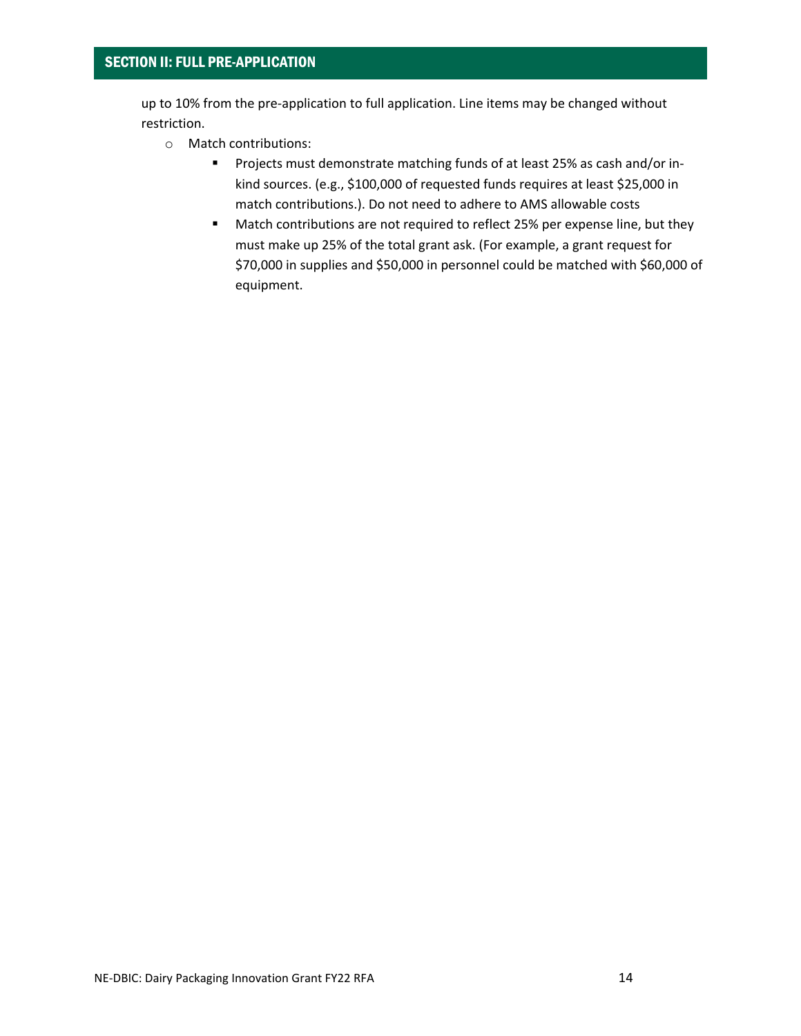up to 10% from the pre-application to full application. Line items may be changed without restriction.

- o Match contributions:
	- **Projects must demonstrate matching funds of at least 25% as cash and/or in**kind sources. (e.g., \$100,000 of requested funds requires at least \$25,000 in match contributions.). Do not need to adhere to AMS allowable costs
	- **Match contributions are not required to reflect 25% per expense line, but they** must make up 25% of the total grant ask. (For example, a grant request for \$70,000 in supplies and \$50,000 in personnel could be matched with \$60,000 of equipment.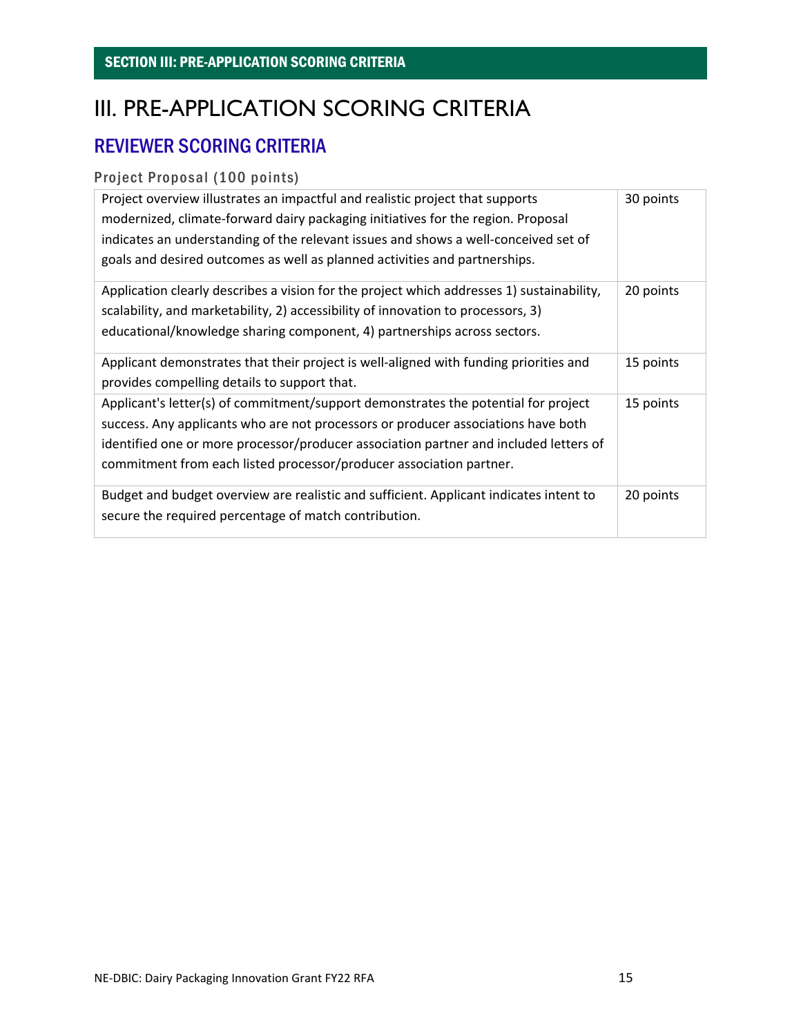## <span id="page-14-0"></span>III. PRE-APPLICATION SCORING CRITERIA

## REVIEWER SCORING CRITERIA

### Project Proposal (100 points)

| Project overview illustrates an impactful and realistic project that supports<br>modernized, climate-forward dairy packaging initiatives for the region. Proposal<br>indicates an understanding of the relevant issues and shows a well-conceived set of<br>goals and desired outcomes as well as planned activities and partnerships.  | 30 points |
|-----------------------------------------------------------------------------------------------------------------------------------------------------------------------------------------------------------------------------------------------------------------------------------------------------------------------------------------|-----------|
| Application clearly describes a vision for the project which addresses 1) sustainability,<br>scalability, and marketability, 2) accessibility of innovation to processors, 3)<br>educational/knowledge sharing component, 4) partnerships across sectors.                                                                               | 20 points |
| Applicant demonstrates that their project is well-aligned with funding priorities and<br>provides compelling details to support that.                                                                                                                                                                                                   | 15 points |
| Applicant's letter(s) of commitment/support demonstrates the potential for project<br>success. Any applicants who are not processors or producer associations have both<br>identified one or more processor/producer association partner and included letters of<br>commitment from each listed processor/producer association partner. | 15 points |
| Budget and budget overview are realistic and sufficient. Applicant indicates intent to<br>secure the required percentage of match contribution.                                                                                                                                                                                         | 20 points |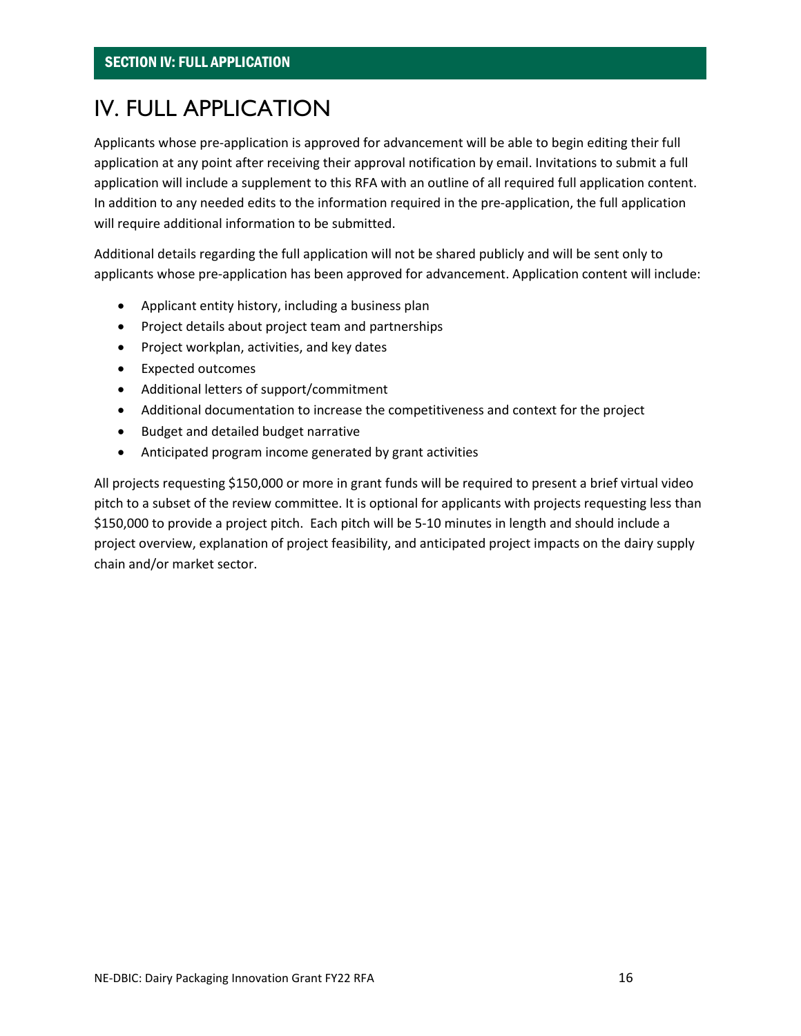## <span id="page-15-0"></span>IV. FULL APPLICATION

Applicants whose pre-application is approved for advancement will be able to begin editing their full application at any point after receiving their approval notification by email. Invitations to submit a full application will include a supplement to this RFA with an outline of all required full application content. In addition to any needed edits to the information required in the pre-application, the full application will require additional information to be submitted.

Additional details regarding the full application will not be shared publicly and will be sent only to applicants whose pre-application has been approved for advancement. Application content will include:

- Applicant entity history, including a business plan
- Project details about project team and partnerships
- Project workplan, activities, and key dates
- Expected outcomes
- Additional letters of support/commitment
- Additional documentation to increase the competitiveness and context for the project
- Budget and detailed budget narrative
- Anticipated program income generated by grant activities

All projects requesting \$150,000 or more in grant funds will be required to present a brief virtual video pitch to a subset of the review committee. It is optional for applicants with projects requesting less than \$150,000 to provide a project pitch. Each pitch will be 5-10 minutes in length and should include a project overview, explanation of project feasibility, and anticipated project impacts on the dairy supply chain and/or market sector.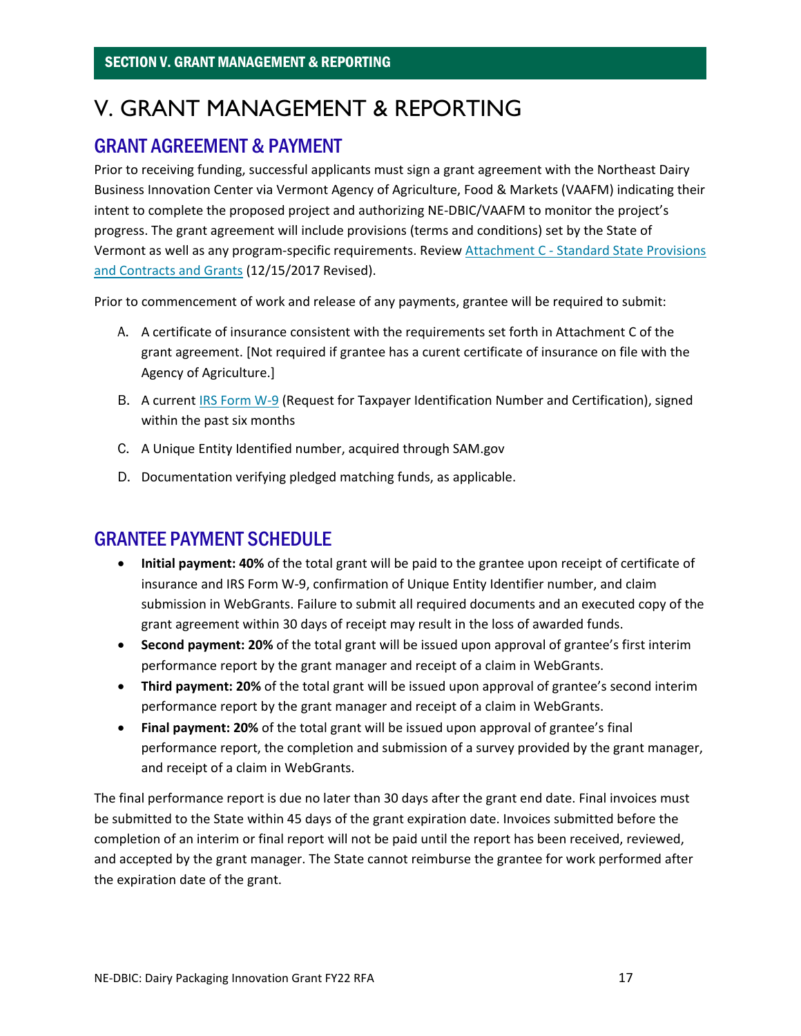## <span id="page-16-0"></span>V. GRANT MANAGEMENT & REPORTING

## GRANT AGREEMENT & PAYMENT

Prior to receiving funding, successful applicants must sign a grant agreement with the Northeast Dairy Business Innovation Center via Vermont Agency of Agriculture, Food & Markets (VAAFM) indicating their intent to complete the proposed project and authorizing NE-DBIC/VAAFM to monitor the project's progress. The grant agreement will include provisions (terms and conditions) set by the State of Vermont as well as any program-specific requirements. Review Attachment C - [Standard State Provisions](https://bgs.vermont.gov/sites/bgs/files/files/purchasing-contracting/Forms/ATTACHMENT%20C%20-%20rev%20Dec%202017%20CLEAN.pdf)  [and Contracts and Grants](https://bgs.vermont.gov/sites/bgs/files/files/purchasing-contracting/Forms/ATTACHMENT%20C%20-%20rev%20Dec%202017%20CLEAN.pdf) (12/15/2017 Revised).

Prior to commencement of work and release of any payments, grantee will be required to submit:

- A. A certificate of insurance consistent with the requirements set forth in Attachment C of the grant agreement. [Not required if grantee has a curent certificate of insurance on file with the Agency of Agriculture.]
- B. A current **IRS Form W-9** (Request for Taxpayer Identification Number and Certification), signed within the past six months
- C. A Unique Entity Identified number, acquired through SAM.gov
- D. Documentation verifying pledged matching funds, as applicable.

## GRANTEE PAYMENT SCHEDULE

- **Initial payment: 40%** of the total grant will be paid to the grantee upon receipt of certificate of insurance and IRS Form W-9, confirmation of Unique Entity Identifier number, and claim submission in WebGrants. Failure to submit all required documents and an executed copy of the grant agreement within 30 days of receipt may result in the loss of awarded funds.
- **Second payment: 20%** of the total grant will be issued upon approval of grantee's first interim performance report by the grant manager and receipt of a claim in WebGrants.
- **Third payment: 20%** of the total grant will be issued upon approval of grantee's second interim performance report by the grant manager and receipt of a claim in WebGrants.
- **Final payment: 20%** of the total grant will be issued upon approval of grantee's final performance report, the completion and submission of a survey provided by the grant manager, and receipt of a claim in WebGrants.

The final performance report is due no later than 30 days after the grant end date. Final invoices must be submitted to the State within 45 days of the grant expiration date. Invoices submitted before the completion of an interim or final report will not be paid until the report has been received, reviewed, and accepted by the grant manager. The State cannot reimburse the grantee for work performed after the expiration date of the grant.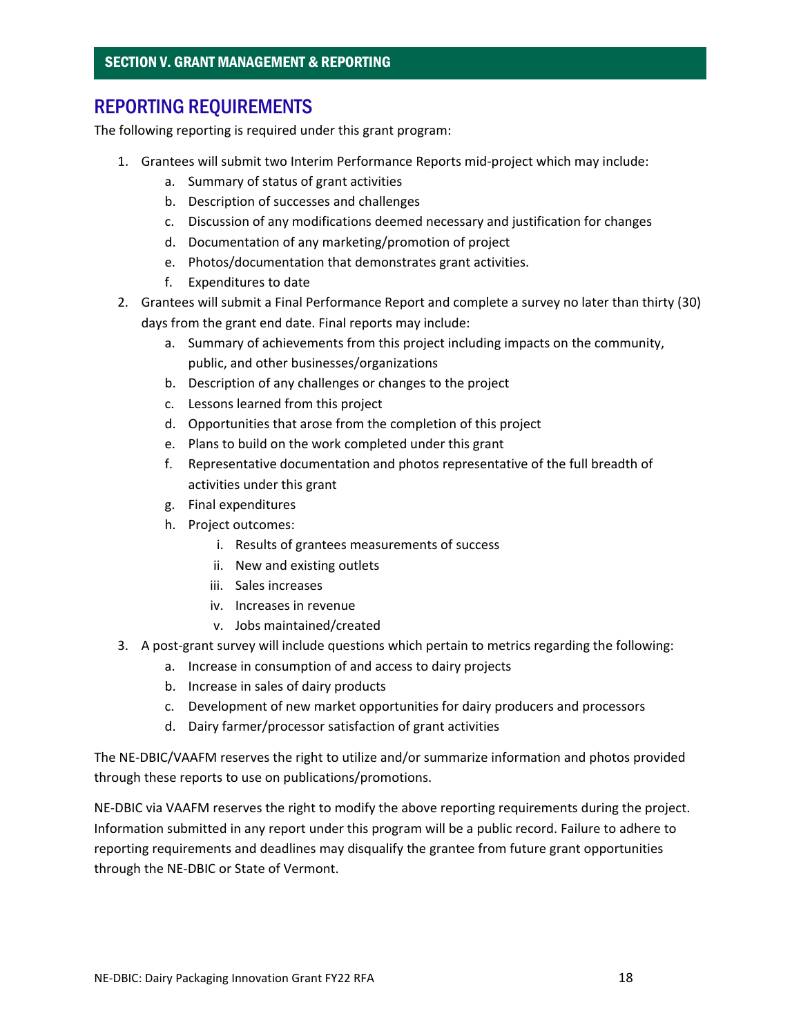## REPORTING REQUIREMENTS

The following reporting is required under this grant program:

- 1. Grantees will submit two Interim Performance Reports mid-project which may include:
	- a. Summary of status of grant activities
	- b. Description of successes and challenges
	- c. Discussion of any modifications deemed necessary and justification for changes
	- d. Documentation of any marketing/promotion of project
	- e. Photos/documentation that demonstrates grant activities.
	- f. Expenditures to date
- 2. Grantees will submit a Final Performance Report and complete a survey no later than thirty (30) days from the grant end date. Final reports may include:
	- a. Summary of achievements from this project including impacts on the community, public, and other businesses/organizations
	- b. Description of any challenges or changes to the project
	- c. Lessons learned from this project
	- d. Opportunities that arose from the completion of this project
	- e. Plans to build on the work completed under this grant
	- f. Representative documentation and photos representative of the full breadth of activities under this grant
	- g. Final expenditures
	- h. Project outcomes:
		- i. Results of grantees measurements of success
		- ii. New and existing outlets
		- iii. Sales increases
		- iv. Increases in revenue
		- v. Jobs maintained/created
- 3. A post-grant survey will include questions which pertain to metrics regarding the following:
	- a. Increase in consumption of and access to dairy projects
	- b. Increase in sales of dairy products
	- c. Development of new market opportunities for dairy producers and processors
	- d. Dairy farmer/processor satisfaction of grant activities

The NE-DBIC/VAAFM reserves the right to utilize and/or summarize information and photos provided through these reports to use on publications/promotions.

NE-DBIC via VAAFM reserves the right to modify the above reporting requirements during the project. Information submitted in any report under this program will be a public record. Failure to adhere to reporting requirements and deadlines may disqualify the grantee from future grant opportunities through the NE-DBIC or State of Vermont.